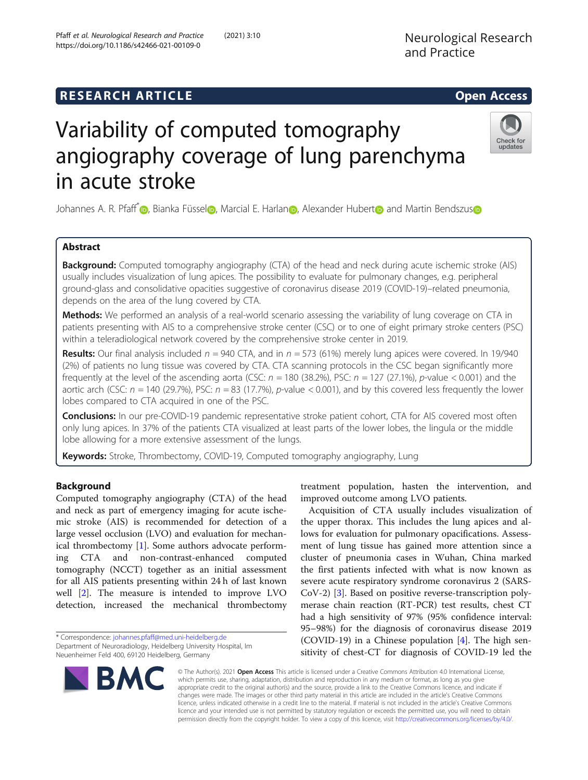# **RESEARCH ARTICLE Example 2014 CONSIDERING CONSIDERING CONSIDERING CONSIDERING CONSIDERING CONSIDERING CONSIDERING CONSIDERING CONSIDERING CONSIDERING CONSIDERING CONSIDERING CONSIDERING CONSIDERING CONSIDERING CONSIDE**

# Variability of computed tomography angiography coverage of lung parenchyma in acute stroke

Johannes A. R. Pfaff<sup>[\\*](http://orcid.org/0000-0003-0672-5718)</sup> [,](https://orcid.org/0000-0001-5106-3974) Bia[n](https://orcid.org/0000-0002-7601-5060)ka Fü[s](https://orcid.org/0000-0002-9094-6769)sel , Marcial E. Harlan , Alexander Hubert and Martin Bendszus

# Abstract

**Background:** Computed tomography angiography (CTA) of the head and neck during acute ischemic stroke (AIS) usually includes visualization of lung apices. The possibility to evaluate for pulmonary changes, e.g. peripheral ground-glass and consolidative opacities suggestive of coronavirus disease 2019 (COVID-19)–related pneumonia, depends on the area of the lung covered by CTA.

Methods: We performed an analysis of a real-world scenario assessing the variability of lung coverage on CTA in patients presenting with AIS to a comprehensive stroke center (CSC) or to one of eight primary stroke centers (PSC) within a teleradiological network covered by the comprehensive stroke center in 2019.

**Results:** Our final analysis included  $n = 940$  CTA, and in  $n = 573$  (61%) merely lung apices were covered. In 19/940 (2%) of patients no lung tissue was covered by CTA. CTA scanning protocols in the CSC began significantly more frequently at the level of the ascending aorta (CSC:  $n = 180$  (38.2%), PSC:  $n = 127$  (27.1%), p-value < 0.001) and the aortic arch (CSC:  $n = 140$  (29.7%), PSC:  $n = 83$  (17.7%), p-value < 0.001), and by this covered less frequently the lower lobes compared to CTA acquired in one of the PSC.

**Conclusions:** In our pre-COVID-19 pandemic representative stroke patient cohort, CTA for AIS covered most often only lung apices. In 37% of the patients CTA visualized at least parts of the lower lobes, the lingula or the middle lobe allowing for a more extensive assessment of the lungs.

Keywords: Stroke, Thrombectomy, COVID-19, Computed tomography angiography, Lung

## Background

Computed tomography angiography (CTA) of the head and neck as part of emergency imaging for acute ischemic stroke (AIS) is recommended for detection of a large vessel occlusion (LVO) and evaluation for mechanical thrombectomy [[1\]](#page-4-0). Some authors advocate performing CTA and non-contrast-enhanced computed tomography (NCCT) together as an initial assessment for all AIS patients presenting within 24 h of last known well [\[2](#page-4-0)]. The measure is intended to improve LVO detection, increased the mechanical thrombectomy

\* Correspondence: [johannes.pfaff@med.uni-heidelberg.de](mailto:johannes.pfaff@med.uni-heidelberg.de)

**BMC** 

Department of Neuroradiology, Heidelberg University Hospital, Im Neuenheimer Feld 400, 69120 Heidelberg, Germany

treatment population, hasten the intervention, and improved outcome among LVO patients.

Acquisition of CTA usually includes visualization of the upper thorax. This includes the lung apices and allows for evaluation for pulmonary opacifications. Assessment of lung tissue has gained more attention since a cluster of pneumonia cases in Wuhan, China marked the first patients infected with what is now known as severe acute respiratory syndrome coronavirus 2 (SARS-CoV-2) [\[3](#page-4-0)]. Based on positive reverse-transcription polymerase chain reaction (RT-PCR) test results, chest CT had a high sensitivity of 97% (95% confidence interval: 95–98%) for the diagnosis of coronavirus disease 2019 (COVID-19) in a Chinese population [\[4](#page-4-0)]. The high sensitivity of chest-CT for diagnosis of COVID-19 led the

© The Author(s). 2021 Open Access This article is licensed under a Creative Commons Attribution 4.0 International License, which permits use, sharing, adaptation, distribution and reproduction in any medium or format, as long as you give appropriate credit to the original author(s) and the source, provide a link to the Creative Commons licence, and indicate if changes were made. The images or other third party material in this article are included in the article's Creative Commons licence, unless indicated otherwise in a credit line to the material. If material is not included in the article's Creative Commons licence and your intended use is not permitted by statutory regulation or exceeds the permitted use, you will need to obtain permission directly from the copyright holder. To view a copy of this licence, visit [http://creativecommons.org/licenses/by/4.0/.](http://creativecommons.org/licenses/by/4.0/)



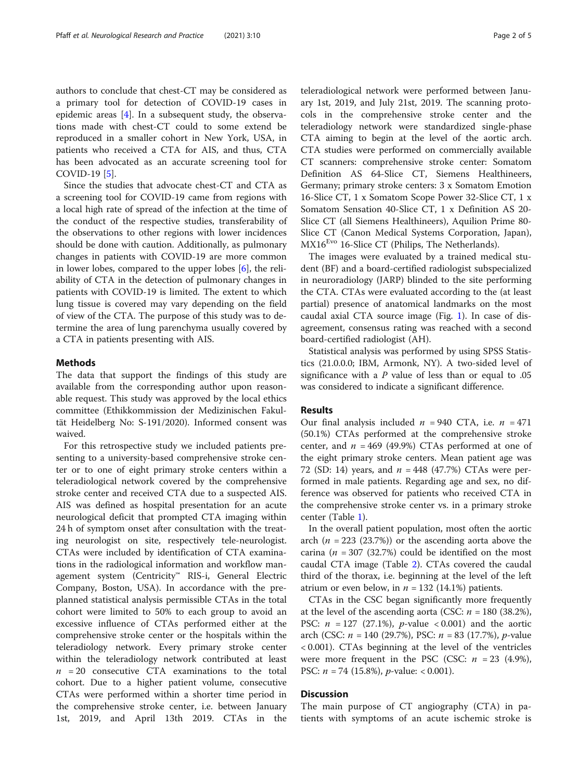authors to conclude that chest-CT may be considered as a primary tool for detection of COVID-19 cases in epidemic areas  $[4]$  $[4]$  $[4]$ . In a subsequent study, the observations made with chest-CT could to some extend be reproduced in a smaller cohort in New York, USA, in patients who received a CTA for AIS, and thus, CTA has been advocated as an accurate screening tool for COVID-19 [[5\]](#page-4-0).

Since the studies that advocate chest-CT and CTA as a screening tool for COVID-19 came from regions with a local high rate of spread of the infection at the time of the conduct of the respective studies, transferability of the observations to other regions with lower incidences should be done with caution. Additionally, as pulmonary changes in patients with COVID-19 are more common in lower lobes, compared to the upper lobes [[6](#page-4-0)], the reliability of CTA in the detection of pulmonary changes in patients with COVID-19 is limited. The extent to which lung tissue is covered may vary depending on the field of view of the CTA. The purpose of this study was to determine the area of lung parenchyma usually covered by a CTA in patients presenting with AIS.

#### Methods

The data that support the findings of this study are available from the corresponding author upon reasonable request. This study was approved by the local ethics committee (Ethikkommission der Medizinischen Fakultät Heidelberg No: S-191/2020). Informed consent was waived.

For this retrospective study we included patients presenting to a university-based comprehensive stroke center or to one of eight primary stroke centers within a teleradiological network covered by the comprehensive stroke center and received CTA due to a suspected AIS. AIS was defined as hospital presentation for an acute neurological deficit that prompted CTA imaging within 24 h of symptom onset after consultation with the treating neurologist on site, respectively tele-neurologist. CTAs were included by identification of CTA examinations in the radiological information and workflow management system (Centricity™ RIS-i, General Electric Company, Boston, USA). In accordance with the preplanned statistical analysis permissible CTAs in the total cohort were limited to 50% to each group to avoid an excessive influence of CTAs performed either at the comprehensive stroke center or the hospitals within the teleradiology network. Every primary stroke center within the teleradiology network contributed at least  $n = 20$  consecutive CTA examinations to the total cohort. Due to a higher patient volume, consecutive CTAs were performed within a shorter time period in the comprehensive stroke center, i.e. between January 1st, 2019, and April 13th 2019. CTAs in the

teleradiological network were performed between January 1st, 2019, and July 21st, 2019. The scanning protocols in the comprehensive stroke center and the teleradiology network were standardized single-phase CTA aiming to begin at the level of the aortic arch. CTA studies were performed on commercially available CT scanners: comprehensive stroke center: Somatom Definition AS 64-Slice CT, Siemens Healthineers, Germany; primary stroke centers: 3 x Somatom Emotion 16-Slice CT, 1 x Somatom Scope Power 32-Slice CT, 1 x Somatom Sensation 40-Slice CT, 1 x Definition AS 20- Slice CT (all Siemens Healthineers), Aquilion Prime 80- Slice CT (Canon Medical Systems Corporation, Japan), MX16<sup>Evo</sup> 16-Slice CT (Philips, The Netherlands).

The images were evaluated by a trained medical student (BF) and a board-certified radiologist subspecialized in neuroradiology (JARP) blinded to the site performing the CTA. CTAs were evaluated according to the (at least partial) presence of anatomical landmarks on the most caudal axial CTA source image (Fig. [1](#page-2-0)). In case of disagreement, consensus rating was reached with a second board-certified radiologist (AH).

Statistical analysis was performed by using SPSS Statistics (21.0.0.0; IBM, Armonk, NY). A two-sided level of significance with a  $P$  value of less than or equal to .05 was considered to indicate a significant difference.

#### Results

Our final analysis included  $n = 940$  CTA, i.e.  $n = 471$ (50.1%) CTAs performed at the comprehensive stroke center, and  $n = 469$  (49.9%) CTAs performed at one of the eight primary stroke centers. Mean patient age was 72 (SD: 14) years, and  $n = 448$  (47.7%) CTAs were performed in male patients. Regarding age and sex, no difference was observed for patients who received CTA in the comprehensive stroke center vs. in a primary stroke center (Table [1](#page-2-0)).

In the overall patient population, most often the aortic arch  $(n = 223 (23.7\%)$  or the ascending aorta above the carina ( $n = 307$  (32.7%) could be identified on the most caudal CTA image (Table [2](#page-3-0)). CTAs covered the caudal third of the thorax, i.e. beginning at the level of the left atrium or even below, in  $n = 132$  (14.1%) patients.

CTAs in the CSC began significantly more frequently at the level of the ascending aorta (CSC:  $n = 180$  (38.2%), PSC:  $n = 127$  (27.1%),  $p$ -value < 0.001) and the aortic arch (CSC:  $n = 140$  (29.7%), PSC:  $n = 83$  (17.7%), *p*-value < 0.001). CTAs beginning at the level of the ventricles were more frequent in the PSC (CSC:  $n = 23$  (4.9%), PSC:  $n = 74$  (15.8%),  $p$ -value: < 0.001).

### **Discussion**

The main purpose of CT angiography (CTA) in patients with symptoms of an acute ischemic stroke is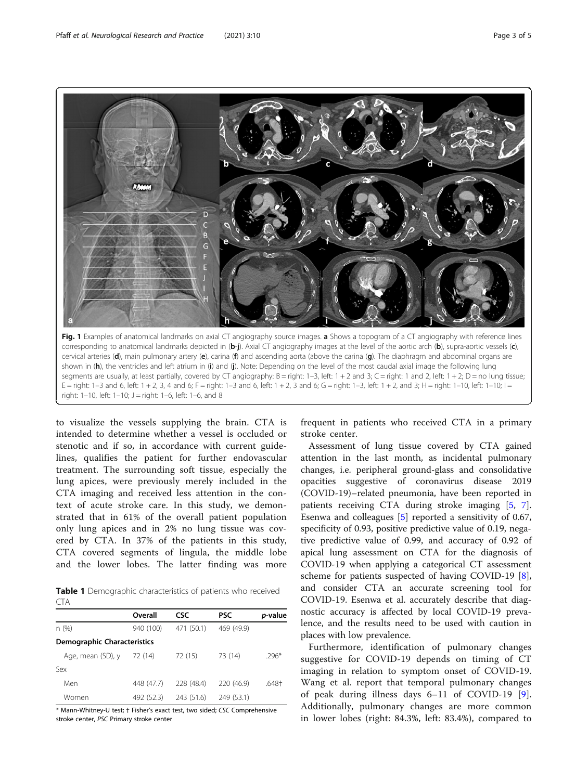<span id="page-2-0"></span>

to visualize the vessels supplying the brain. CTA is intended to determine whether a vessel is occluded or stenotic and if so, in accordance with current guidelines, qualifies the patient for further endovascular treatment. The surrounding soft tissue, especially the lung apices, were previously merely included in the CTA imaging and received less attention in the context of acute stroke care. In this study, we demonstrated that in 61% of the overall patient population only lung apices and in 2% no lung tissue was covered by CTA. In 37% of the patients in this study, CTA covered segments of lingula, the middle lobe and the lower lobes. The latter finding was more

Table 1 Demographic characteristics of patients who received CTA

| Overall                            | <b>CSC</b> | <b>PSC</b> | <i>p</i> -value |  |  |  |  |  |
|------------------------------------|------------|------------|-----------------|--|--|--|--|--|
| 940 (100)                          | 471 (50.1) | 469 (49.9) |                 |  |  |  |  |  |
| <b>Demographic Characteristics</b> |            |            |                 |  |  |  |  |  |
| 72 (14)                            | 72 (15)    | 73 (14)    | $.296*$         |  |  |  |  |  |
|                                    |            |            |                 |  |  |  |  |  |
| 448 (47.7)                         | 228 (48.4) | 220 (46.9) | .648†           |  |  |  |  |  |
| 492 (52.3)                         | 243 (51.6) | 249 (53.1) |                 |  |  |  |  |  |
|                                    |            |            |                 |  |  |  |  |  |

\* Mann-Whitney-U test; † Fisher's exact test, two sided; CSC Comprehensive stroke center, PSC Primary stroke center

frequent in patients who received CTA in a primary stroke center.

Assessment of lung tissue covered by CTA gained attention in the last month, as incidental pulmonary changes, i.e. peripheral ground-glass and consolidative opacities suggestive of coronavirus disease 2019 (COVID-19)–related pneumonia, have been reported in patients receiving CTA during stroke imaging [[5](#page-4-0), [7](#page-4-0)]. Esenwa and colleagues [[5\]](#page-4-0) reported a sensitivity of 0.67, specificity of 0.93, positive predictive value of 0.19, negative predictive value of 0.99, and accuracy of 0.92 of apical lung assessment on CTA for the diagnosis of COVID-19 when applying a categorical CT assessment scheme for patients suspected of having COVID-19 [\[8](#page-4-0)], and consider CTA an accurate screening tool for COVID-19. Esenwa et al. accurately describe that diagnostic accuracy is affected by local COVID-19 prevalence, and the results need to be used with caution in places with low prevalence.

Furthermore, identification of pulmonary changes suggestive for COVID-19 depends on timing of CT imaging in relation to symptom onset of COVID-19. Wang et al. report that temporal pulmonary changes of peak during illness days 6–11 of COVID-19 [\[9](#page-4-0)]. Additionally, pulmonary changes are more common in lower lobes (right: 84.3%, left: 83.4%), compared to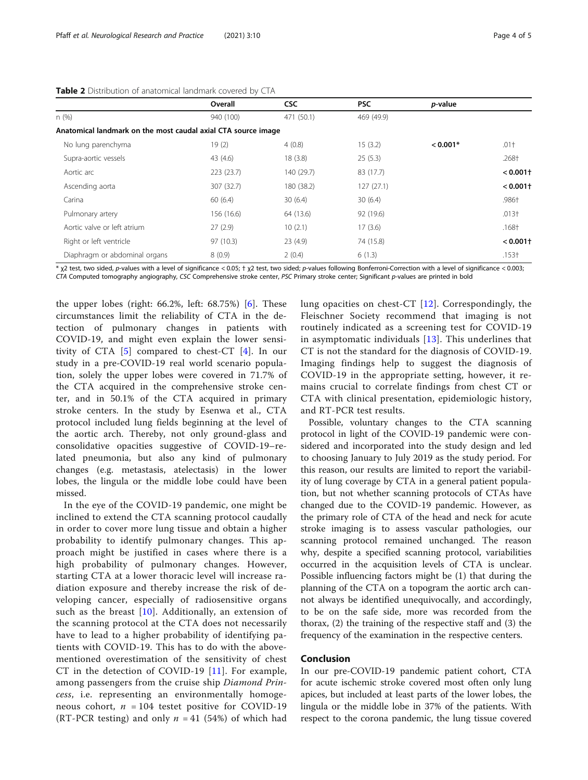|                                                               | Overall    | <b>CSC</b> | <b>PSC</b> | <i>p</i> -value |                        |
|---------------------------------------------------------------|------------|------------|------------|-----------------|------------------------|
| n(%)                                                          | 940 (100)  | 471 (50.1) | 469 (49.9) |                 |                        |
| Anatomical landmark on the most caudal axial CTA source image |            |            |            |                 |                        |
| No lung parenchyma                                            | 19(2)      | 4(0.8)     | 15(3.2)    | $< 0.001*$      | $.01 +$                |
| Supra-aortic vessels                                          | 43 $(4.6)$ | 18(3.8)    | 25(5.3)    |                 | .268†                  |
| Aortic arc                                                    | 223(23.7)  | 140 (29.7) | 83 (17.7)  |                 | < 0.001                |
| Ascending aorta                                               | 307 (32.7) | 180 (38.2) | 127(27.1)  |                 | $< 0.001$ <sup>+</sup> |
| Carina                                                        | 60(6.4)    | 30(6.4)    | 30(6.4)    |                 | .986†                  |
| Pulmonary artery                                              | 156 (16.6) | 64 (13.6)  | 92 (19.6)  |                 | $.013+$                |
| Aortic valve or left atrium                                   | 27(2.9)    | 10(2.1)    | 17(3.6)    |                 | $.168+$                |
| Right or left ventricle                                       | 97 (10.3)  | 23(4.9)    | 74 (15.8)  |                 | $0.001+$               |
| Diaphragm or abdominal organs                                 | 8(0.9)     | 2(0.4)     | 6(1.3)     |                 | $.153+$                |

<span id="page-3-0"></span>Table 2 Distribution of anatomical landmark covered by CTA

\* χ2 test, two sided, p-values with a level of significance < 0.05; † χ2 test, two sided; p-values following Bonferroni-Correction with a level of significance < 0.003; CTA Computed tomography angiography, CSC Comprehensive stroke center, PSC Primary stroke center; Significant p-values are printed in bold

the upper lobes (right: 66.2%, left: 68.75%) [[6\]](#page-4-0). These circumstances limit the reliability of CTA in the detection of pulmonary changes in patients with COVID-19, and might even explain the lower sensitivity of CTA  $[5]$  $[5]$  compared to chest-CT  $[4]$  $[4]$ . In our study in a pre-COVID-19 real world scenario population, solely the upper lobes were covered in 71.7% of the CTA acquired in the comprehensive stroke center, and in 50.1% of the CTA acquired in primary stroke centers. In the study by Esenwa et al., CTA protocol included lung fields beginning at the level of the aortic arch. Thereby, not only ground-glass and consolidative opacities suggestive of COVID-19–related pneumonia, but also any kind of pulmonary changes (e.g. metastasis, atelectasis) in the lower lobes, the lingula or the middle lobe could have been missed.

In the eye of the COVID-19 pandemic, one might be inclined to extend the CTA scanning protocol caudally in order to cover more lung tissue and obtain a higher probability to identify pulmonary changes. This approach might be justified in cases where there is a high probability of pulmonary changes. However, starting CTA at a lower thoracic level will increase radiation exposure and thereby increase the risk of developing cancer, especially of radiosensitive organs such as the breast [[10](#page-4-0)]. Additionally, an extension of the scanning protocol at the CTA does not necessarily have to lead to a higher probability of identifying patients with COVID-19. This has to do with the abovementioned overestimation of the sensitivity of chest CT in the detection of COVID-19 [\[11\]](#page-4-0). For example, among passengers from the cruise ship Diamond Princess, i.e. representing an environmentally homogeneous cohort,  $n = 104$  testet positive for COVID-19 (RT-PCR testing) and only  $n = 41$  (54%) of which had lung opacities on chest-CT [[12](#page-4-0)]. Correspondingly, the Fleischner Society recommend that imaging is not routinely indicated as a screening test for COVID-19 in asymptomatic individuals [[13](#page-4-0)]. This underlines that CT is not the standard for the diagnosis of COVID-19. Imaging findings help to suggest the diagnosis of COVID-19 in the appropriate setting, however, it remains crucial to correlate findings from chest CT or CTA with clinical presentation, epidemiologic history, and RT-PCR test results.

Possible, voluntary changes to the CTA scanning protocol in light of the COVID-19 pandemic were considered and incorporated into the study design and led to choosing January to July 2019 as the study period. For this reason, our results are limited to report the variability of lung coverage by CTA in a general patient population, but not whether scanning protocols of CTAs have changed due to the COVID-19 pandemic. However, as the primary role of CTA of the head and neck for acute stroke imaging is to assess vascular pathologies, our scanning protocol remained unchanged. The reason why, despite a specified scanning protocol, variabilities occurred in the acquisition levels of CTA is unclear. Possible influencing factors might be (1) that during the planning of the CTA on a topogram the aortic arch cannot always be identified unequivocally, and accordingly, to be on the safe side, more was recorded from the thorax, (2) the training of the respective staff and (3) the frequency of the examination in the respective centers.

#### Conclusion

In our pre-COVID-19 pandemic patient cohort, CTA for acute ischemic stroke covered most often only lung apices, but included at least parts of the lower lobes, the lingula or the middle lobe in 37% of the patients. With respect to the corona pandemic, the lung tissue covered